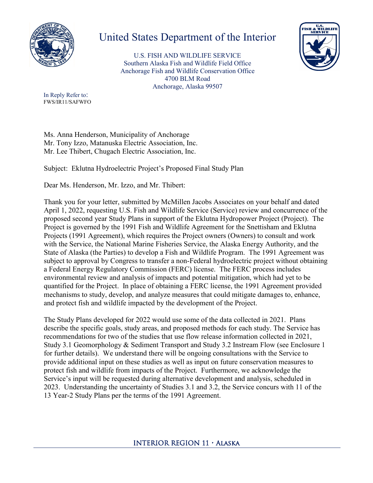

## United States Department of the Interior

U.S. FISH AND WILDLIFE SERVICE Southern Alaska Fish and Wildlife Field Office Anchorage Fish and Wildlife Conservation Office 4700 BLM Road Anchorage, Alaska 99507



In Reply Refer to: FWS/IR11/SAFWFO

Ms. Anna Henderson, Municipality of Anchorage Mr. Tony Izzo, Matanuska Electric Association, Inc. Mr. Lee Thibert, Chugach Electric Association, Inc.

Subject: Eklutna Hydroelectric Project's Proposed Final Study Plan

Dear Ms. Henderson, Mr. Izzo, and Mr. Thibert:

Thank you for your letter, submitted by McMillen Jacobs Associates on your behalf and dated April 1, 2022, requesting U.S. Fish and Wildlife Service (Service) review and concurrence of the proposed second year Study Plans in support of the Eklutna Hydropower Project (Project). The Project is governed by the 1991 Fish and Wildlife Agreement for the Snettisham and Eklutna Projects (1991 Agreement), which requires the Project owners (Owners) to consult and work with the Service, the National Marine Fisheries Service, the Alaska Energy Authority, and the State of Alaska (the Parties) to develop a Fish and Wildlife Program. The 1991 Agreement was subject to approval by Congress to transfer a non-Federal hydroelectric project without obtaining a Federal Energy Regulatory Commission (FERC) license. The FERC process includes environmental review and analysis of impacts and potential mitigation, which had yet to be quantified for the Project. In place of obtaining a FERC license, the 1991 Agreement provided mechanisms to study, develop, and analyze measures that could mitigate damages to, enhance, and protect fish and wildlife impacted by the development of the Project.

The Study Plans developed for 2022 would use some of the data collected in 2021. Plans describe the specific goals, study areas, and proposed methods for each study. The Service has recommendations for two of the studies that use flow release information collected in 2021, Study 3.1 Geomorphology & Sediment Transport and Study 3.2 Instream Flow (see Enclosure 1 for further details). We understand there will be ongoing consultations with the Service to provide additional input on these studies as well as input on future conservation measures to protect fish and wildlife from impacts of the Project. Furthermore, we acknowledge the Service's input will be requested during alternative development and analysis, scheduled in 2023. Understanding the uncertainty of Studies 3.1 and 3.2, the Service concurs with 11 of the 13 Year-2 Study Plans per the terms of the 1991 Agreement.